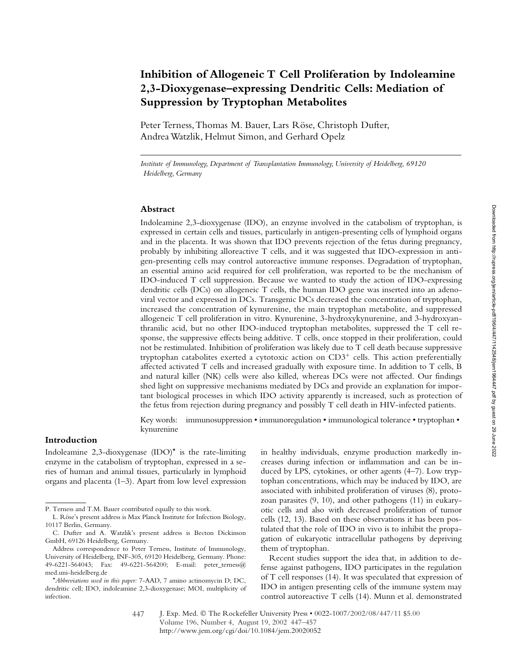# **Inhibition of Allogeneic T Cell Proliferation by Indoleamine 2,3-Dioxygenase–expressing Dendritic Cells: Mediation of Suppression by Tryptophan Metabolites**

Peter Terness, Thomas M. Bauer, Lars Röse, Christoph Dufter, Andrea Watzlik, Helmut Simon, and Gerhard Opelz

*Institute of Immunology, Department of Transplantation Immunology, University of Heidelberg, 69120 Heidelberg, Germany*

#### **Abstract**

Indoleamine 2,3-dioxygenase (IDO), an enzyme involved in the catabolism of tryptophan, is expressed in certain cells and tissues, particularly in antigen-presenting cells of lymphoid organs and in the placenta. It was shown that IDO prevents rejection of the fetus during pregnancy, probably by inhibiting alloreactive T cells, and it was suggested that IDO-expression in antigen-presenting cells may control autoreactive immune responses. Degradation of tryptophan, an essential amino acid required for cell proliferation, was reported to be the mechanism of IDO-induced T cell suppression. Because we wanted to study the action of IDO-expressing dendritic cells (DCs) on allogeneic T cells, the human IDO gene was inserted into an adenoviral vector and expressed in DCs. Transgenic DCs decreased the concentration of tryptophan, increased the concentration of kynurenine, the main tryptophan metabolite, and suppressed allogeneic T cell proliferation in vitro. Kynurenine, 3-hydroxykynurenine, and 3-hydroxyanthranilic acid, but no other IDO-induced tryptophan metabolites, suppressed the T cell response, the suppressive effects being additive. T cells, once stopped in their proliferation, could not be restimulated. Inhibition of proliferation was likely due to T cell death because suppressive tryptophan catabolites exerted a cytotoxic action on  $CD3^+$  cells. This action preferentially affected activated T cells and increased gradually with exposure time. In addition to T cells, B and natural killer (NK) cells were also killed, whereas DCs were not affected. Our findings shed light on suppressive mechanisms mediated by DCs and provide an explanation for important biological processes in which IDO activity apparently is increased, such as protection of the fetus from rejection during pregnancy and possibly T cell death in HIV-infected patients.

Key words: immunosuppression • immunoregulation • immunological tolerance • tryptophan • kynurenine

## **Introduction**

Indoleamine 2,3-dioxygenase  $(IDO)^*$  is the rate-limiting enzyme in the catabolism of tryptophan, expressed in a series of human and animal tissues, particularly in lymphoid organs and placenta (1–3). Apart from low level expression

in healthy individuals, enzyme production markedly increases during infection or inflammation and can be induced by LPS, cytokines, or other agents (4–7). Low tryptophan concentrations, which may be induced by IDO, are associated with inhibited proliferation of viruses (8), protozoan parasites (9, 10), and other pathogens (11) in eukaryotic cells and also with decreased proliferation of tumor cells (12, 13). Based on these observations it has been postulated that the role of IDO in vivo is to inhibit the propagation of eukaryotic intracellular pathogens by depriving them of tryptophan.

Recent studies support the idea that, in addition to defense against pathogens, IDO participates in the regulation of T cell responses (14). It was speculated that expression of IDO in antigen presenting cells of the immune system may control autoreactive T cells (14). Munn et al. demonstrated

P. Terness and T.M. Bauer contributed equally to this work.

L. Röse's present address is Max Planck Institute for Infection Biology, 10117 Berlin, Germany.

C. Dufter and A. Watzlik's present address is Becton Dickinson GmbH, 69126 Heidelberg, Germany.

Address correspondence to Peter Terness, Institute of Immunology, University of Heidelberg, INF-305, 69120 Heidelberg, Germany. Phone: 49-6221-564043; Fax: 49-6221-564200; E-mail: peter\_terness@ med.uni-heidelberg.de

<sup>\*</sup>*Abbreviations used in this paper:* 7-AAD, 7 amino actinomycin D; DC, dendritic cell; IDO, indoleamine 2,3-dioxygenase; MOI, multiplicity of infection.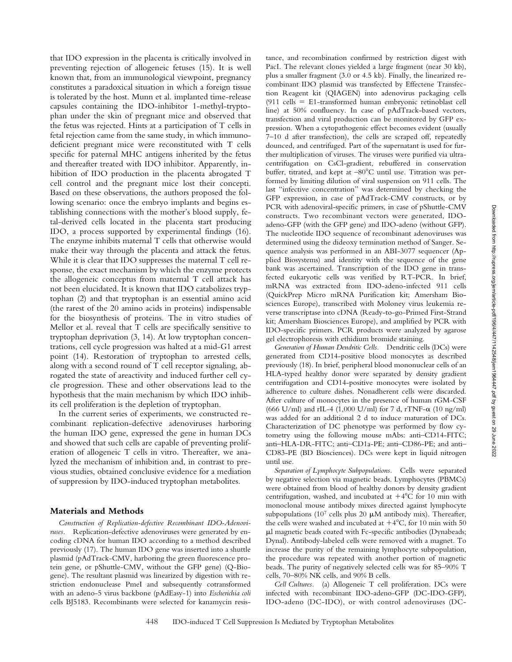that IDO expression in the placenta is critically involved in preventing rejection of allogeneic fetuses (15). It is well known that, from an immunological viewpoint, pregnancy constitutes a paradoxical situation in which a foreign tissue is tolerated by the host. Munn et al. implanted time-release capsules containing the IDO-inhibitor 1-methyl-tryptophan under the skin of pregnant mice and observed that the fetus was rejected. Hints at a participation of T cells in fetal rejection came from the same study, in which immunodeficient pregnant mice were reconstituted with T cells specific for paternal MHC antigens inherited by the fetus and thereafter treated with IDO inhibitor. Apparently, inhibition of IDO production in the placenta abrogated T cell control and the pregnant mice lost their concepti. Based on these observations, the authors proposed the following scenario: once the embryo implants and begins establishing connections with the mother's blood supply, fetal-derived cells located in the placenta start producing IDO, a process supported by experimental findings (16). The enzyme inhibits maternal T cells that otherwise would make their way through the placenta and attack the fetus. While it is clear that IDO suppresses the maternal T cell response, the exact mechanism by which the enzyme protects the allogeneic conceptus from maternal T cell attack has not been elucidated. It is known that IDO catabolizes tryptophan (2) and that tryptophan is an essential amino acid (the rarest of the 20 amino acids in proteins) indispensable for the biosynthesis of proteins. The in vitro studies of Mellor et al. reveal that T cells are specifically sensitive to tryptophan deprivation (3, 14). At low tryptophan concentrations, cell cycle progression was halted at a mid-G1 arrest point (14). Restoration of tryptophan to arrested cells, along with a second round of T cell receptor signaling, abrogated the state of areactivity and induced further cell cycle progression. These and other observations lead to the hypothesis that the main mechanism by which IDO inhibits cell proliferation is the depletion of tryptophan.

In the current series of experiments, we constructed recombinant replication-defective adenoviruses harboring the human IDO gene, expressed the gene in human DCs and showed that such cells are capable of preventing proliferation of allogeneic T cells in vitro. Thereafter, we analyzed the mechanism of inhibition and, in contrast to previous studies, obtained conclusive evidence for a mediation of suppression by IDO-induced tryptophan metabolites.

### **Materials and Methods**

*Construction of Replication-defective Recombinant IDO-Adenoviruses.* Replication-defective adenoviruses were generated by encoding cDNA for human IDO according to a method described previously (17). The human IDO gene was inserted into a shuttle plasmid (pAdTrack-CMV, harboring the green fluorescence protein gene, or pShuttle-CMV, without the GFP gene) (Q-Biogene). The resultant plasmid was linearized by digestion with restriction endonuclease PmeI and subsequently cotransformed with an adeno-5 virus backbone (pAdEasy-1) into *Escherichia coli* cells BJ5183. Recombinants were selected for kanamycin resistance, and recombination confirmed by restriction digest with PacI. The relevant clones yielded a large fragment (near 30 kb), plus a smaller fragment (3.0 or 4.5 kb). Finally, the linearized recombinant IDO plasmid was transfected by Effectene Transfection Reagent kit (QIAGEN) into adenovirus packaging cells (911 cells E1-transformed human embryonic retinoblast cell line) at 50% confluency. In case of pAdTrack-based vectors, transfection and viral production can be monitored by GFP expression. When a cytopathogenic effect becomes evident (usually 7–10 d after transfection), the cells are scraped off, repeatedly dounced, and centrifuged. Part of the supernatant is used for further multiplication of viruses. The viruses were purified via ultracentrifugation on CsCl-gradient, rebuffered in conservation buffer, titrated, and kept at  $-80^{\circ}$ C until use. Titration was performed by limiting dilution of viral suspension on 911 cells. The last "infective concentration" was determined by checking the GFP expression, in case of pAdTrack-CMV constructs, or by PCR with adenoviral-specific primers, in case of pShuttle-CMV constructs. Two recombinant vectors were generated, IDOadeno-GFP (with the GFP gene) and IDO-adeno (without GFP). The nucleotide IDO sequence of recombinant adenoviruses was determined using the dideoxy termination method of Sanger. Sequence analysis was performed in an ABI-3077 sequencer (Applied Biosystems) and identity with the sequence of the gene bank was ascertained. Transcription of the IDO gene in transfected eukaryotic cells was verified by RT-PCR. In brief, mRNA was extracted from IDO-adeno-infected 911 cells (QuickPrep Micro mRNA Purification kit; Amersham Biosciences Europe), transcribed with Moloney virus leukemia reverse transcriptase into cDNA (Ready-to-go-Primed First-Strand kit; Amersham Biosciences Europe), and amplified by PCR with IDO-specific primers. PCR products were analyzed by agarose gel electrophoresis with ethidium bromide staining.

*Generation of Human Dendritic Cells.* Dendritic cells (DCs) were generated from CD14-positive blood monocytes as described previously (18). In brief, peripheral blood mononuclear cells of an HLA-typed healthy donor were separated by density gradient centrifugation and CD14-positive monocytes were isolated by adherence to culture dishes. Nonadherent cells were discarded. After culture of monocytes in the presence of human rGM-CSF (666 U/ml) and rIL-4 (1,000 U/ml) for 7 d, rTNF- $\alpha$  (10 ng/ml) was added for an additional 2 d to induce maturation of DCs. Characterization of DC phenotype was performed by flow cytometry using the following mouse mAbs: anti–CD14-FITC; anti–HLA-DR-FITC; anti–CD1a-PE; anti–CD86-PE; and anti– CD83-PE (BD Biosciences). DCs were kept in liquid nitrogen until use.

*Separation of Lymphocyte Subpopulations.* Cells were separated by negative selection via magnetic beads. Lymphocytes (PBMCs) were obtained from blood of healthy donors by density gradient centrifugation, washed, and incubated at  $+4^{\circ}$ C for 10 min with monoclonal mouse antibody mixes directed against lymphocyte subpopulations (107 cells plus 20  $\mu$ M antibody mix). Thereafter, the cells were washed and incubated at  $+4^{\circ}$ C, for 10 min with 50 l magnetic beads coated with Fc-specific antibodies (Dynabeads; Dynal). Antibody-labeled cells were removed with a magnet. To increase the purity of the remaining lymphocyte subpopulation, the procedure was repeated with another portion of magnetic beads. The purity of negatively selected cells was for 85–90% T cells, 70–80% NK cells, and 90% B cells.

*Cell Cultures.* (a) Allogeneic T cell proliferation. DCs were infected with recombinant IDO-adeno-GFP (DC-IDO-GFP), IDO-adeno (DC-IDO), or with control adenoviruses (DC-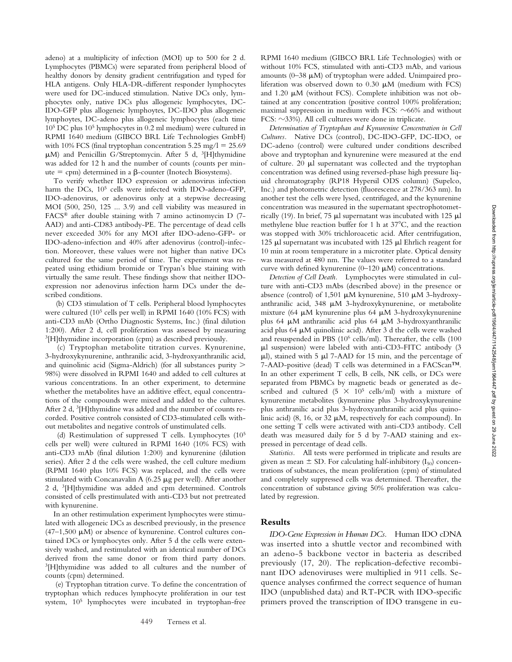adeno) at a multiplicity of infection (MOI) up to 500 for 2 d. Lymphocytes (PBMCs) were separated from peripheral blood of healthy donors by density gradient centrifugation and typed for HLA antigens. Only HLA-DR-different responder lymphocytes were used for DC-induced stimulation. Native DCs only, lymphocytes only, native DCs plus allogeneic lymphocytes, DC-IDO-GFP plus allogeneic lymphoytes, DC-IDO plus allogeneic lymphoytes, DC-adeno plus allogeneic lymphocytes (each time 105 DC plus 105 lymphocytes in 0.2 ml medium) were cultured in RPMI 1640 medium (GIBCO BRL Life Technologies GmbH) with 10% FCS (final tryptophan concentration  $5.25 \text{ mg}/1 = 25.69$  $\mu$ M) and Penicillin G/Streptomycin. After 5 d, <sup>3</sup>[H]thymidine was added for 12 h and the number of counts (counts per minute  $=$  cpm) determined in a  $\beta$ -counter (Inotech Biosystems).

To verify whether IDO expression or adenovirus infection harm the DCs,  $10^5$  cells were infected with IDO-adeno-GFP, IDO-adenovirus, or adenovirus only at a stepwise decreasing MOI (500, 250, 125 ... 3.9) and cell viability was measured in FACS® after double staining with 7 amino actinomycin D (7- AAD) and anti-CD83 antibody-PE. The percentage of dead cells never exceeded 30% for any MOI after IDO-adeno-GFP- or IDO-adeno-infection and 40% after adenovirus (control)-infection. Moreover, these values were not higher than native DCs cultured for the same period of time. The experiment was repeated using ethidium bromide or Trypan's blue staining with virtually the same result. These findings show that neither IDOexpression nor adenovirus infection harm DCs under the described conditions.

 (b) CD3 stimulation of T cells. Peripheral blood lymphocytes were cultured (105 cells per well) in RPMI 1640 (10% FCS) with anti-CD3 mAb (Ortho Diagnostic Systems, Inc.) (final dilution 1:200). After 2 d, cell proliferation was assessed by measuring 3[H]thymidine incorporation (cpm) as described previously.

 (c) Tryptophan metabolite titration curves. Kynurenine, 3-hydroxykynurenine, anthranilic acid, 3-hydroxyanthranilic acid, and quinolinic acid (Sigma-Aldrich) (for all substances purity 98%) were dissolved in RPMI 1640 and added to cell cultures at various concentrations. In an other experiment, to determine whether the metabolites have an additive effect, equal concentrations of the compounds were mixed and added to the cultures. After 2 d, <sup>3</sup>[H]thymidine was added and the number of counts recorded. Positive controls consisted of CD3-stimulated cells without metabolites and negative controls of unstimulated cells.

 (d) Restimulation of suppressed T cells. Lymphocytes (105 cells per well) were cultured in RPMI 1640 (10% FCS) with anti-CD3 mAb (final dilution 1:200) and kynurenine (dilution series). After 2 d the cells were washed, the cell culture medium (RPMI 1640 plus 10% FCS) was replaced, and the cells were stimulated with Concanavalin A  $(6.25 \mu g$  per well). After another 2 d, 3[H]thymidine was added and cpm determined. Controls consisted of cells prestimulated with anti-CD3 but not pretreated with kynurenine.

In an other restimulation experiment lymphocytes were stimulated with allogeneic DCs as described previously, in the presence  $(47-1,500 \mu M)$  or absence of kynurenine. Control cultures contained DCs or lymphocytes only. After 5 d the cells were extensively washed, and restimulated with an identical number of DCs derived from the same donor or from third party donors. 3[H]thymidine was added to all cultures and the number of counts (cpm) determined.

 (e) Tryptophan titration curve. To define the concentration of tryptophan which reduces lymphocyte proliferation in our test system, 105 lymphocytes were incubated in tryptophan-free

RPMI 1640 medium (GIBCO BRL Life Technologies) with or without 10% FCS, stimulated with anti-CD3 mAb, and various amounts ( $0-38 \mu M$ ) of tryptophan were added. Unimpaired proliferation was observed down to  $0.30 \mu M$  (medium with FCS) and 1.20  $\mu$ M (without FCS). Complete inhibition was not obtained at any concentration (positive control 100% proliferation; maximal suppression in medium with FCS:  $\sim$ 66% and without FCS:  $\sim$ 33%). All cell cultures were done in triplicate.

*Determination of Tryptophan and Kynurenine Concentration in Cell Cultures.* Native DCs (control), DC-IDO-GFP, DC-IDO, or DC-adeno (control) were cultured under conditions described above and tryptophan and kynurenine were measured at the end of culture.  $20 \mu l$  supernatant was collected and the tryptophan concentration was defined using reversed-phase high pressure liquid chromatography (RP18 Hypersil ODS column) (Supelco, Inc.) and photometric detection (fluorescence at 278/363 nm). In another test the cells were lysed, centrifuged, and the kynurenine concentration was measured in the supernatant spectrophotometrically (19). In brief, 75  $\mu$ l supernatant was incubated with 125  $\mu$ l methylene blue reaction buffer for 1 h at  $37^{\circ}$ C, and the reaction was stopped with 30% trichloroacetic acid. After centrifugation, 125  $\mu$ l supernatant was incubated with 125  $\mu$ l Ehrlich reagent for 10 min at room temperature in a microtiter plate. Optical density was measured at 480 nm. The values were referred to a standard curve with defined kynurenine (0–120  $\mu$ M) concentrations.

*Detection of Cell Death.* Lymphocytes were stimulated in culture with anti-CD3 mAbs (described above) in the presence or absence (control) of 1,501  $\mu$ M kynurenine, 510  $\mu$ M 3-hydroxyanthranilic acid,  $348 \mu M$  3-hydroxykynurenine, or metabolite mixture (64 µM kynurenine plus 64 µM 3-hydroxykynurenine plus 64  $\mu$ M anthranilic acid plus 64  $\mu$ M 3-hydroxyanthranilic acid plus 64  $\mu$ M quinolinic acid). After 3 d the cells were washed and resuspended in PBS (106 cells/ml). Thereafter, the cells (100  $\mu$ l suspension) were labeled with anti-CD3-FITC antibody (3  $\mu$ l), stained with 5  $\mu$ l 7-AAD for 15 min, and the percentage of 7-AAD-positive (dead) T cells was determined in a FACScan™. In an other experiment T cells, B cells, NK cells, or DCs were separated from PBMCs by magnetic beads or generated as described and cultured  $(5 \times 10^5 \text{ cells/ml})$  with a mixture of kynurenine metabolites (kynurenine plus 3-hydroxykynurenine plus anthranilic acid plus 3-hydroxyanthranilic acid plus quinolinic acid) (8, 16, or 32  $\mu$ M, respectively for each compound). In one setting T cells were activated with anti-CD3 antibody. Cell death was measured daily for 5 d by 7-AAD staining and expressed in percentage of dead cells.

*Statistics.* All tests were performed in triplicate and results are given as mean  $\pm$  SD. For calculating half-inhibitory (I<sub>50</sub>) concentrations of substances, the mean proliferation (cpm) of stimulated and completely suppressed cells was determined. Thereafter, the concentration of substance giving 50% proliferation was calculated by regression.

### **Results**

*IDO-Gene Expression in Human DCs.* Human IDO cDNA was inserted into a shuttle vector and recombined with an adeno-5 backbone vector in bacteria as described previously (17, 20). The replication-defective recombinant IDO adenoviruses were multiplied in 911 cells. Sequence analyses confirmed the correct sequence of human IDO (unpublished data) and RT-PCR with IDO-specific primers proved the transcription of IDO transgene in eu-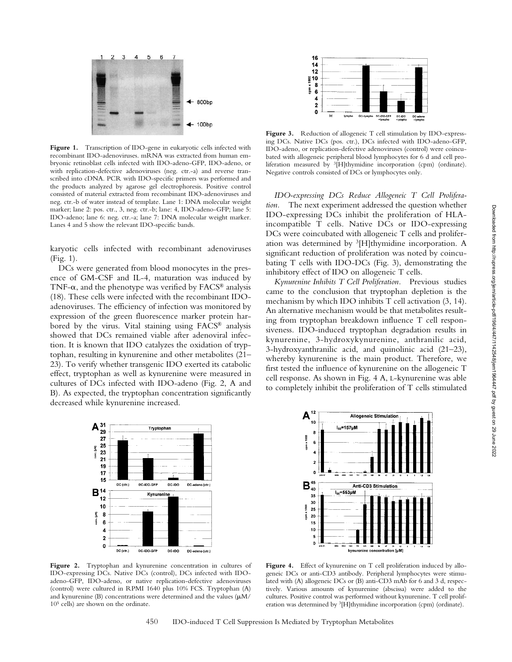

Figure 1. Transcription of IDO-gene in eukaryotic cells infected with recombinant IDO-adenoviruses. mRNA was extracted from human embryonic retinoblast cells infected with IDO-adeno-GFP, IDO-adeno, or with replication-defective adenoviruses (neg. ctr.-a) and reverse transcribed into cDNA. PCR with IDO-specific primers was performed and the products analyzed by agarose gel electrophoresis. Positive control consisted of material extracted from recombinant IDO-adenoviruses and neg. ctr.-b of water instead of template. Lane 1: DNA molecular weight marker; lane 2: pos. ctr., 3, neg. ctr.-b; lane: 4, IDO-adeno-GFP; lane 5: IDO-adeno; lane 6: neg. ctr.-a; lane 7: DNA molecular weight marker. Lanes 4 and 5 show the relevant IDO-specific bands.

karyotic cells infected with recombinant adenoviruses (Fig. 1).

DCs were generated from blood monocytes in the presence of GM-CSF and IL-4, maturation was induced by TNF- $\alpha$ , and the phenotype was verified by FACS<sup>®</sup> analysis (18). These cells were infected with the recombinant IDOadenoviruses. The efficiency of infection was monitored by expression of the green fluorescence marker protein harbored by the virus. Vital staining using FACS® analysis showed that DCs remained viable after adenoviral infection. It is known that IDO catalyzes the oxidation of tryptophan, resulting in kynurenine and other metabolites (21– 23). To verify whether transgenic IDO exerted its catabolic effect, tryptophan as well as kynurenine were measured in cultures of DCs infected with IDO-adeno (Fig. 2, A and B). As expected, the tryptophan concentration significantly decreased while kynurenine increased.



**Figure 2.** Tryptophan and kynurenine concentration in cultures of IDO-expressing DCs. Native DCs (control), DCs infected with IDOadeno-GFP, IDO-adeno, or native replication-defective adenoviruses (control) were cultured in RPMI 1640 plus 10% FCS. Tryptophan (A) and kynurenine (B) concentrations were determined and the values  $(\mu M)$ 105 cells) are shown on the ordinate.



**Figure 3.** Reduction of allogeneic T cell stimulation by IDO-expressing DCs. Native DCs (pos. ctr.), DCs infected with IDO-adeno-GFP, IDO-adeno, or replication-defective adenoviruses (control) were coincubated with allogeneic peripheral blood lymphocytes for 6 d and cell proliferation measured by 3[H]thymidine incorporation (cpm) (ordinate). Negative controls consisted of DCs or lymphocytes only.

*IDO-expressing DCs Reduce Allogeneic T Cell Proliferation.* The next experiment addressed the question whether IDO-expressing DCs inhibit the proliferation of HLAincompatible T cells. Native DCs or IDO-expressing DCs were coincubated with allogeneic T cells and proliferation was determined by 3[H]thymidine incorporation. A significant reduction of proliferation was noted by coincubating T cells with IDO-DCs (Fig. 3), demonstrating the inhibitory effect of IDO on allogeneic T cells.

*Kynurenine Inhibits T Cell Proliferation.* Previous studies came to the conclusion that tryptophan depletion is the mechanism by which IDO inhibits T cell activation (3, 14). An alternative mechanism would be that metabolites resulting from tryptophan breakdown influence T cell responsiveness. IDO-induced tryptophan degradation results in kynurenine, 3-hydroxykynurenine, anthranilic acid, 3-hydroxyanthranilic acid, and quinolinic acid (21–23), whereby kynurenine is the main product. Therefore, we first tested the influence of kynurenine on the allogeneic T cell response. As shown in Fig. 4 A, L-kynurenine was able to completely inhibit the proliferation of T cells stimulated



Figure 4. Effect of kynurenine on T cell proliferation induced by allogeneic DCs or anti-CD3 antibody. Peripheral lymphocytes were stimulated with (A) allogeneic DCs or (B) anti-CD3 mAb for 6 and 3 d, respectively. Various amounts of kynurenine (abscissa) were added to the cultures. Positive control was performed without kynurenine. T cell proliferation was determined by 3[H]thymidine incorporation (cpm) (ordinate).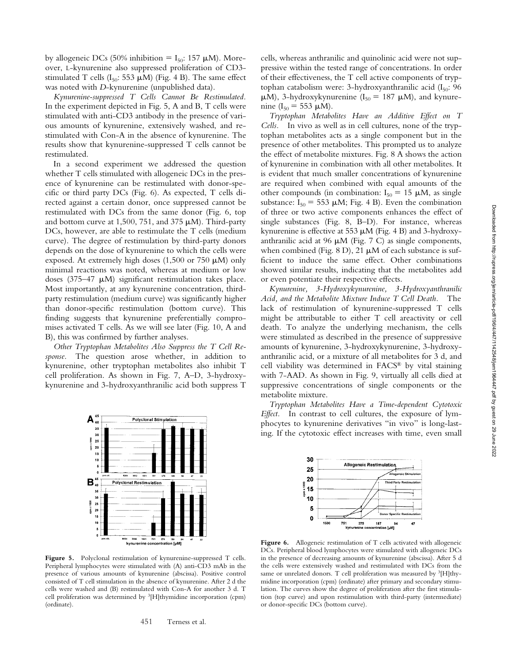by allogeneic DCs (50% inhibition =  $I_{50}$ : 157 µM). Moreover, L-kynurenine also suppressed proliferation of CD3 stimulated T cells ( $I_{50}$ : 553  $\mu$ M) (Fig. 4 B). The same effect was noted with *D*-kynurenine (unpublished data).

*Kynurenine-suppressed T Cells Cannot Be Restimulated.* In the experiment depicted in Fig. 5, A and B, T cells were stimulated with anti-CD3 antibody in the presence of various amounts of kynurenine, extensively washed, and restimulated with Con-A in the absence of kynurenine. The results show that kynurenine-suppressed T cells cannot be restimulated.

In a second experiment we addressed the question whether T cells stimulated with allogeneic DCs in the presence of kynurenine can be restimulated with donor-specific or third party DCs (Fig. 6). As expected, T cells directed against a certain donor, once suppressed cannot be restimulated with DCs from the same donor (Fig. 6, top and bottom curve at 1,500, 751, and 375  $\mu$ M). Third-party DCs, however, are able to restimulate the T cells (medium curve). The degree of restimulation by third-party donors depends on the dose of kynurenine to which the cells were exposed. At extremely high doses  $(1,500 \text{ or } 750 \text{ }\mu\text{M})$  only minimal reactions was noted, whereas at medium or low doses (375–47  $\mu$ M) significant restimulation takes place. Most importantly, at any kynurenine concentration, thirdparty restimulation (medium curve) was significantly higher than donor-specific restimulation (bottom curve). This finding suggests that kynurenine preferentially compromises activated T cells. As we will see later (Fig. 10, A and B), this was confirmed by further analyses.

*Other Tryptophan Metabolites Also Suppress the T Cell Response.* The question arose whether, in addition to kynurenine, other tryptophan metabolites also inhibit T cell proliferation. As shown in Fig. 7, A–D, 3-hydroxykynurenine and 3-hydroxyanthranilic acid both suppress T



Figure 5. Polyclonal restimulation of kynurenine-suppressed T cells. Peripheral lymphocytes were stimulated with (A) anti-CD3 mAb in the presence of various amounts of kynurenine (abscissa). Positive control consisted of T cell stimulation in the absence of kynurenine. After 2 d the cells were washed and (B) restimulated with Con-A for another 3 d. T cell proliferation was determined by 3[H]thymidine incorporation (cpm) (ordinate).

cells, whereas anthranilic and quinolinic acid were not suppressive within the tested range of concentrations. In order of their effectiveness, the T cell active components of tryptophan catabolism were: 3-hydroxyanthranilic acid  $(I_{50}: 96$  $\mu$ M), 3-hydroxykynurenine (I<sub>50</sub> = 187  $\mu$ M), and kynurenine ( $I_{50} = 553 \mu M$ ).

*Tryptophan Metabolites Have an Additive Effect on T Cells.* In vivo as well as in cell cultures, none of the tryptophan metabolites acts as a single component but in the presence of other metabolites. This prompted us to analyze the effect of metabolite mixtures. Fig. 8 A shows the action of kynurenine in combination with all other metabolites. It is evident that much smaller concentrations of kynurenine are required when combined with equal amounts of the other compounds (in combination:  $I_{50} = 15 \mu M$ , as single substance:  $I_{50}$  = 553  $\mu$ M; Fig. 4 B). Even the combination of three or two active components enhances the effect of single substances (Fig. 8, B–D). For instance, whereas kynurenine is effective at 553  $\mu$ M (Fig. 4 B) and 3-hydroxyanthranilic acid at 96  $\mu$ M (Fig. 7 C) as single components, when combined (Fig.  $8$  D),  $21 \mu M$  of each substance is sufficient to induce the same effect. Other combinations showed similar results, indicating that the metabolites add or even potentiate their respective effects.

*Kynurenine, 3-Hydroxykynurenine, 3-Hydroxyanthranilic Acid, and the Metabolite Mixture Induce T Cell Death.* The lack of restimulation of kynurenine-suppressed T cells might be attributable to either T cell areactivity or cell death. To analyze the underlying mechanism, the cells were stimulated as described in the presence of suppressive amounts of kynurenine, 3-hydroxykynurenine, 3-hydroxyanthranilic acid, or a mixture of all metabolites for 3 d, and cell viability was determined in FACS® by vital staining with 7-AAD. As shown in Fig. 9, virtually all cells died at suppressive concentrations of single components or the metabolite mixture.

*Tryptophan Metabolites Have a Time-dependent Cytotoxic Effect.* In contrast to cell cultures, the exposure of lymphocytes to kynurenine derivatives "in vivo" is long-lasting. If the cytotoxic effect increases with time, even small



Figure 6. Allogeneic restimulation of T cells activated with allogeneic DCs. Peripheral blood lymphocytes were stimulated with allogeneic DCs in the presence of decreasing amounts of kynurenine (abscissa). After 5 d the cells were extensively washed and restimulated with DCs from the same or unrelated donors. T cell proliferation was measured by <sup>3</sup>[H]thymidine incorporation (cpm) (ordinate) after primary and secondary stimulation. The curves show the degree of proliferation after the first stimulation (top curve) and upon restimulation with third-party (intermediate) or donor-specific DCs (bottom curve).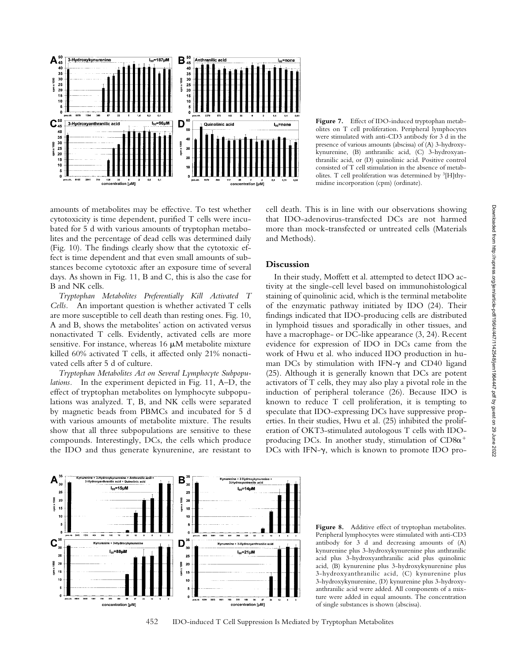

amounts of metabolites may be effective. To test whether cytotoxicity is time dependent, purified T cells were incubated for 5 d with various amounts of tryptophan metabolites and the percentage of dead cells was determined daily (Fig. 10). The findings clearly show that the cytotoxic effect is time dependent and that even small amounts of substances become cytotoxic after an exposure time of several days. As shown in Fig. 11, B and C, this is also the case for B and NK cells.

*Tryptophan Metabolites Preferentially Kill Activated T Cells.* An important question is whether activated T cells are more susceptible to cell death than resting ones. Fig. 10, A and B, shows the metabolites' action on activated versus nonactivated T cells. Evidently, activated cells are more sensitive. For instance, whereas  $16 \mu M$  metabolite mixture killed 60% activated T cells, it affected only 21% nonactivated cells after 5 d of culture.

*Tryptophan Metabolites Act on Several Lymphocyte Subpopulations.* In the experiment depicted in Fig. 11, A–D, the effect of tryptophan metabolites on lymphocyte subpopulations was analyzed. T, B, and NK cells were separated by magnetic beads from PBMCs and incubated for 5 d with various amounts of metabolite mixture. The results show that all three subpopulations are sensitive to these compounds. Interestingly, DCs, the cells which produce the IDO and thus generate kynurenine, are resistant to

Figure 7. Effect of IDO-induced tryptophan metabolites on T cell proliferation. Peripheral lymphocytes were stimulated with anti-CD3 antibody for 3 d in the presence of various amounts (abscissa) of (A) 3-hydroxykynurenine, (B) anthranilic acid, (C) 3-hydroxyanthranilic acid, or (D) quinolinic acid. Positive control consisted of T cell stimulation in the absence of metabolites. T cell proliferation was determined by 3[H]thymidine incorporation (cpm) (ordinate).

cell death. This is in line with our observations showing that IDO-adenovirus-transfected DCs are not harmed more than mock-transfected or untreated cells (Materials and Methods).

## **Discussion**

In their study, Moffett et al. attempted to detect IDO activity at the single-cell level based on immunohistological staining of quinolinic acid, which is the terminal metabolite of the enzymatic pathway initiated by IDO (24). Their findings indicated that IDO-producing cells are distributed in lymphoid tissues and sporadically in other tissues, and have a macrophage- or DC-like appearance (3, 24). Recent evidence for expression of IDO in DCs came from the work of Hwu et al. who induced IDO production in human DCs by stimulation with IFN- $\gamma$  and CD40 ligand (25). Although it is generally known that DCs are potent activators of T cells, they may also play a pivotal role in the induction of peripheral tolerance (26). Because IDO is known to reduce T cell proliferation, it is tempting to speculate that IDO-expressing DCs have suppressive properties. In their studies, Hwu et al. (25) inhibited the proliferation of OKT3-stimulated autologous T cells with IDOproducing DCs. In another study, stimulation of  $CD8\alpha^+$  $DCs$  with IFN- $\gamma$ , which is known to promote IDO pro-



Figure 8. Additive effect of tryptophan metabolites. Peripheral lymphocytes were stimulated with anti-CD3 antibody for 3 d and decreasing amounts of (A) kynurenine plus 3-hydroxykynurenine plus anthranilic acid plus 3-hydroxyanthranilic acid plus quinolinic acid, (B) kynurenine plus 3-hydroxykynurenine plus 3-hydroxyanthranilic acid, (C) kynurenine plus 3-hydroxykynurenine, (D) kynurenine plus 3-hydroxyanthranilic acid were added. All components of a mixture were added in equal amounts. The concentration of single substances is shown (abscissa).

452 IDO-induced T Cell Suppression Is Mediated by Tryptophan Metabolites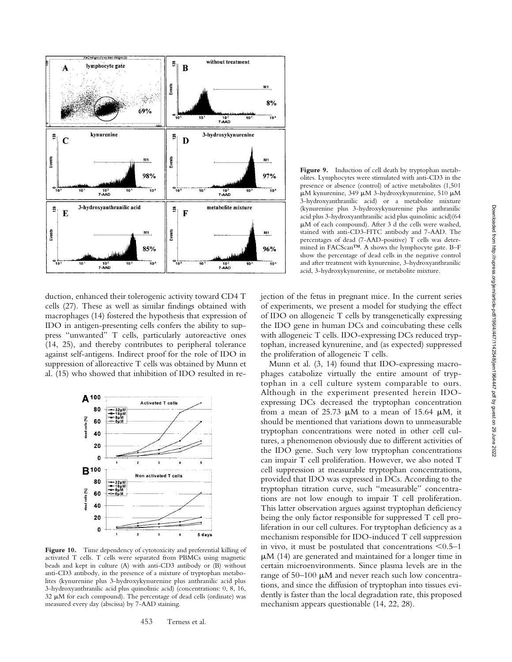

duction, enhanced their tolerogenic activity toward CD4 T cells (27). These as well as similar findings obtained with macrophages (14) fostered the hypothesis that expression of IDO in antigen-presenting cells confers the ability to suppress "unwanted" T cells, particularly autoreactive ones (14, 25), and thereby contributes to peripheral tolerance against self-antigens. Indirect proof for the role of IDO in suppression of alloreactive T cells was obtained by Munn et al. (15) who showed that inhibition of IDO resulted in re-



Figure 10. Time dependency of cytotoxicity and preferential killing of activated T cells. T cells were separated from PBMCs using magnetic beads and kept in culture (A) with anti-CD3 antibody or (B) without anti-CD3 antibody, in the presence of a mixture of tryptophan metabolites (kynurenine plus 3-hydroxykynurenine plus anthranilic acid plus 3-hydroxyanthranilic acid plus quinolinic acid) (concentrations: 0, 8, 16,  $32 \mu$ M for each compound). The percentage of dead cells (ordinate) was measured every day (abscissa) by 7-AAD staining.

Figure 9. Induction of cell death by tryptophan metabolites. Lymphocytes were stimulated with anti-CD3 in the presence or absence (control) of active metabolites (1,501  $\mu$ M kynurenine, 349  $\mu$ M 3-hydroxykynurenine, 510  $\mu$ M 3-hydroxyanthranilic acid) or a metabolite mixture (kynurenine plus 3-hydroxykynurenine plus anthranilic acid plus 3-hydroxyanthranilic acid plus quinolinic acid)(64 M of each compound). After 3 d the cells were washed, stained with anti-CD3-FITC antibody and 7-AAD. The percentages of dead (7-AAD-positive) T cells was determined in FACScan™. A shows the lymphocyte gate. B–F show the percentage of dead cells in the negative control and after treatment with kynurenine, 3-hydroxyanthranilic acid, 3-hydroxykynurenine, or metabolite mixture.

jection of the fetus in pregnant mice. In the current series of experiments, we present a model for studying the effect of IDO on allogeneic T cells by transgenetically expressing the IDO gene in human DCs and coincubating these cells with allogeneic T cells. IDO-expressing DCs reduced tryptophan, increased kynurenine, and (as expected) suppressed the proliferation of allogeneic T cells.

Munn et al. (3, 14) found that IDO-expressing macrophages catabolize virtually the entire amount of tryptophan in a cell culture system comparable to ours. Although in the experiment presented herein IDOexpressing DCs decreased the tryptophan concentration from a mean of 25.73  $\mu$ M to a mean of 15.64  $\mu$ M, it should be mentioned that variations down to unmeasurable tryptophan concentrations were noted in other cell cultures, a phenomenon obviously due to different activities of the IDO gene. Such very low tryptophan concentrations can impair T cell proliferation. However, we also noted T cell suppression at measurable tryptophan concentrations, provided that IDO was expressed in DCs. According to the tryptophan titration curve, such "measurable" concentrations are not low enough to impair T cell proliferation. This latter observation argues against tryptophan deficiency being the only factor responsible for suppressed T cell proliferation in our cell cultures. For tryptophan deficiency as a mechanism responsible for IDO-induced T cell suppression in vivo, it must be postulated that concentrations  $\leq 0.5-1$ M (14) are generated and maintained for a longer time in certain microenvironments. Since plasma levels are in the range of  $50-100 \mu M$  and never reach such low concentrations, and since the diffusion of tryptophan into tissues evidently is faster than the local degradation rate, this proposed mechanism appears questionable (14, 22, 28).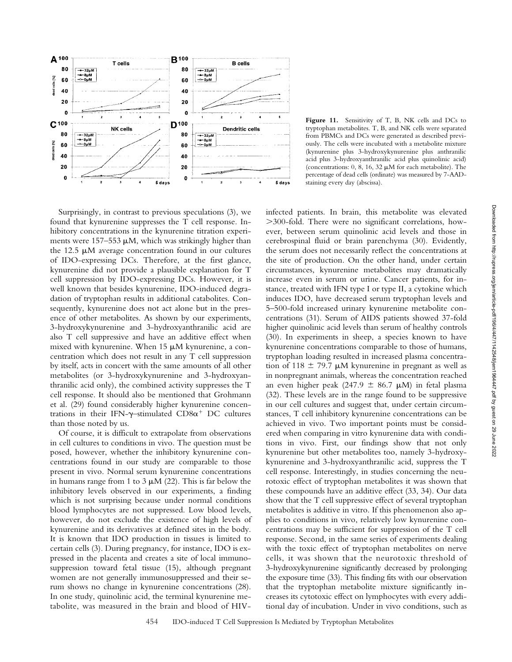

Surprisingly, in contrast to previous speculations (3), we found that kynurenine suppresses the T cell response. Inhibitory concentrations in the kynurenine titration experiments were 157-553  $\mu$ M, which was strikingly higher than the 12.5  $\mu$ M average concentration found in our cultures of IDO-expressing DCs. Therefore, at the first glance, kynurenine did not provide a plausible explanation for T cell suppression by IDO-expressing DCs. However, it is well known that besides kynurenine, IDO-induced degradation of tryptophan results in additional catabolites. Consequently, kynurenine does not act alone but in the presence of other metabolites. As shown by our experiments, 3-hydroxykynurenine and 3-hydroxyanthranilic acid are also T cell suppressive and have an additive effect when mixed with kynurenine. When  $15 \mu M$  kynurenine, a concentration which does not result in any T cell suppression by itself, acts in concert with the same amounts of all other metabolites (or 3-hydroxykynurenine and 3-hydroxyanthranilic acid only), the combined activity suppresses the T cell response. It should also be mentioned that Grohmann et al. (29) found considerably higher kynurenine concentrations in their IFN- $\gamma$ -stimulated CD8 $\alpha^+$  DC cultures than those noted by us.

Of course, it is difficult to extrapolate from observations in cell cultures to conditions in vivo. The question must be posed, however, whether the inhibitory kynurenine concentrations found in our study are comparable to those present in vivo. Normal serum kynurenine concentrations in humans range from 1 to 3  $\mu$ M (22). This is far below the inhibitory levels observed in our experiments, a finding which is not surprising because under normal conditions blood lymphocytes are not suppressed. Low blood levels, however, do not exclude the existence of high levels of kynurenine and its derivatives at defined sites in the body. It is known that IDO production in tissues is limited to certain cells (3). During pregnancy, for instance, IDO is expressed in the placenta and creates a site of local immunosuppression toward fetal tissue (15), although pregnant women are not generally immunosuppressed and their serum shows no change in kynurenine concentrations (28). In one study, quinolinic acid, the terminal kynurenine metabolite, was measured in the brain and blood of HIV-

Figure 11. Sensitivity of T, B, NK cells and DCs to tryptophan metabolites. T, B, and NK cells were separated from PBMCs and DCs were generated as described previously. The cells were incubated with a metabolite mixture (kynurenine plus 3-hydroxykynurenine plus anthranilic acid plus 3-hydroxyanthranilic acid plus quinolinic acid) (concentrations:  $0, 8, 16, 32 \mu M$  for each metabolite). The percentage of dead cells (ordinate) was measured by 7-AADstaining every day (abscissa).

infected patients. In brain, this metabolite was elevated 300-fold. There were no significant correlations, however, between serum quinolinic acid levels and those in cerebrospinal fluid or brain parenchyma (30). Evidently, the serum does not necessarily reflect the concentrations at the site of production. On the other hand, under certain circumstances, kynurenine metabolites may dramatically increase even in serum or urine. Cancer patients, for instance, treated with IFN type I or type II, a cytokine which induces IDO, have decreased serum tryptophan levels and 5–500-fold increased urinary kynurenine metabolite concentrations (31). Serum of AIDS patients showed 37-fold higher quinolinic acid levels than serum of healthy controls (30). In experiments in sheep, a species known to have kynurenine concentrations comparable to those of humans, tryptophan loading resulted in increased plasma concentration of 118  $\pm$  79.7 µM kynurenine in pregnant as well as in nonpregnant animals, whereas the concentration reached an even higher peak (247.9  $\pm$  86.7 µM) in fetal plasma (32). These levels are in the range found to be suppressive in our cell cultures and suggest that, under certain circumstances, T cell inhibitory kynurenine concentrations can be achieved in vivo. Two important points must be considered when comparing in vitro kynurenine data with conditions in vivo. First, our findings show that not only kynurenine but other metabolites too, namely 3-hydroxykynurenine and 3-hydroxyanthranilic acid, suppress the T cell response. Interestingly, in studies concerning the neurotoxic effect of tryptophan metabolites it was shown that these compounds have an additive effect (33, 34). Our data show that the T cell suppressive effect of several tryptophan metabolites is additive in vitro. If this phenomenon also applies to conditions in vivo, relatively low kynurenine concentrations may be sufficient for suppression of the T cell response. Second, in the same series of experiments dealing with the toxic effect of tryptophan metabolites on nerve cells, it was shown that the neurotoxic threshold of 3-hydroxykynurenine significantly decreased by prolonging the exposure time (33). This finding fits with our observation that the tryptophan metabolite mixture significantly increases its cytotoxic effect on lymphocytes with every additional day of incubation. Under in vivo conditions, such as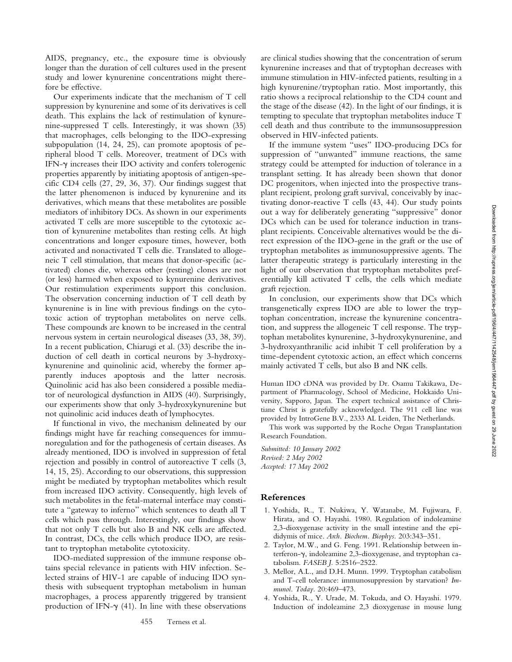AIDS, pregnancy, etc., the exposure time is obviously longer than the duration of cell cultures used in the present study and lower kynurenine concentrations might therefore be effective.

Our experiments indicate that the mechanism of T cell suppression by kynurenine and some of its derivatives is cell death. This explains the lack of restimulation of kynurenine-suppressed T cells. Interestingly, it was shown (35) that macrophages, cells belonging to the IDO-expressing subpopulation (14, 24, 25), can promote apoptosis of peripheral blood T cells. Moreover, treatment of DCs with IFN- $\gamma$  increases their IDO activity and confers tolerogenic properties apparently by initiating apoptosis of antigen-specific CD4 cells (27, 29, 36, 37). Our findings suggest that the latter phenomenon is induced by kynurenine and its derivatives, which means that these metabolites are possible mediators of inhibitory DCs. As shown in our experiments activated T cells are more susceptible to the cytotoxic action of kynurenine metabolites than resting cells. At high concentrations and longer exposure times, however, both activated and nonactivated T cells die. Translated to allogeneic T cell stimulation, that means that donor-specific (activated) clones die, whereas other (resting) clones are not (or less) harmed when exposed to kynurenine derivatives. Our restimulation experiments support this conclusion. The observation concerning induction of T cell death by kynurenine is in line with previous findings on the cytotoxic action of tryptophan metabolites on nerve cells. These compounds are known to be increased in the central nervous system in certain neurological diseases (33, 38, 39). In a recent publication, Chiarugi et al. (33) describe the induction of cell death in cortical neurons by 3-hydroxykynurenine and quinolinic acid, whereby the former apparently induces apoptosis and the latter necrosis. Quinolinic acid has also been considered a possible mediator of neurological dysfunction in AIDS (40). Surprisingly, our experiments show that only 3-hydroxykynurenine but not quinolinic acid induces death of lymphocytes.

If functional in vivo, the mechanism delineated by our findings might have far reaching consequences for immunoregulation and for the pathogenesis of certain diseases. As already mentioned, IDO is involved in suppression of fetal rejection and possibly in control of autoreactive T cells (3, 14, 15, 25). According to our observations, this suppression might be mediated by tryptophan metabolites which result from increased IDO activity. Consequently, high levels of such metabolites in the fetal-maternal interface may constitute a "gateway to inferno" which sentences to death all T cells which pass through. Interestingly, our findings show that not only T cells but also B and NK cells are affected. In contrast, DCs, the cells which produce IDO, are resistant to tryptophan metabolite cytotoxicity.

IDO-mediated suppression of the immune response obtains special relevance in patients with HIV infection. Selected strains of HIV-1 are capable of inducing IDO synthesis with subsequent tryptophan metabolism in human macrophages, a process apparently triggered by transient production of IFN- $\gamma$  (41). In line with these observations

are clinical studies showing that the concentration of serum kynurenine increases and that of tryptophan decreases with immune stimulation in HIV-infected patients, resulting in a high kynurenine/tryptophan ratio. Most importantly, this ratio shows a reciprocal relationship to the CD4 count and the stage of the disease (42). In the light of our findings, it is tempting to speculate that tryptophan metabolites induce T cell death and thus contribute to the immunsosuppression observed in HIV-infected patients.

If the immune system "uses" IDO-producing DCs for suppression of "unwanted" immune reactions, the same strategy could be attempted for induction of tolerance in a transplant setting. It has already been shown that donor DC progenitors, when injected into the prospective transplant recipient, prolong graft survival, conceivably by inactivating donor-reactive T cells (43, 44). Our study points out a way for deliberately generating "suppressive" donor DCs which can be used for tolerance induction in transplant recipients. Conceivable alternatives would be the direct expression of the IDO-gene in the graft or the use of tryptophan metabolites as immunosuppressive agents. The latter therapeutic strategy is particularly interesting in the light of our observation that tryptophan metabolites preferentially kill activated T cells, the cells which mediate graft rejection.

In conclusion, our experiments show that DCs which transgenetically express IDO are able to lower the tryptophan concentration, increase the kynurenine concentration, and suppress the allogeneic T cell response. The tryptophan metabolites kynurenine, 3-hydroxykynurenine, and 3-hydroxyanthranilic acid inhibit T cell proliferation by a time-dependent cytotoxic action, an effect which concerns mainly activated T cells, but also B and NK cells.

Human IDO cDNA was provided by Dr. Osamu Takikawa, Department of Pharmacology, School of Medicine, Hokkaido University, Sapporo, Japan. The expert technical assistance of Christiane Christ is gratefully acknowledged. The 911 cell line was provided by IntroGene B.V., 2333 AL Leiden, The Netherlands.

This work was supported by the Roche Organ Transplantation Research Foundation.

*Submitted: 10 January 2002 Revised: 2 May 2002 Accepted: 17 May 2002*

#### **References**

- 1. Yoshida, R., T. Nukiwa, Y. Watanabe, M. Fujiwara, F. Hirata, and O. Hayashi. 1980. Regulation of indoleamine 2,3-dioxygenase activity in the small intestine and the epididymis of mice. *Arch. Biochem. Biophys.* 203:343–351.
- 2. Taylor, M.W., and G. Feng. 1991. Relationship between interferon- $\gamma$ , indoleamine 2,3-dioxygenase, and tryptophan catabolism. *FASEB J.* 5:2516–2522.
- 3. Mellor, A.L., and D.H. Munn. 1999. Tryptophan catabolism and T-cell tolerance: immunosuppression by starvation? *Immunol. Today.* 20:469–473.
- 4. Yoshida, R., Y. Urade, M. Tokuda, and O. Hayashi. 1979. Induction of indoleamine 2,3 dioxygenase in mouse lung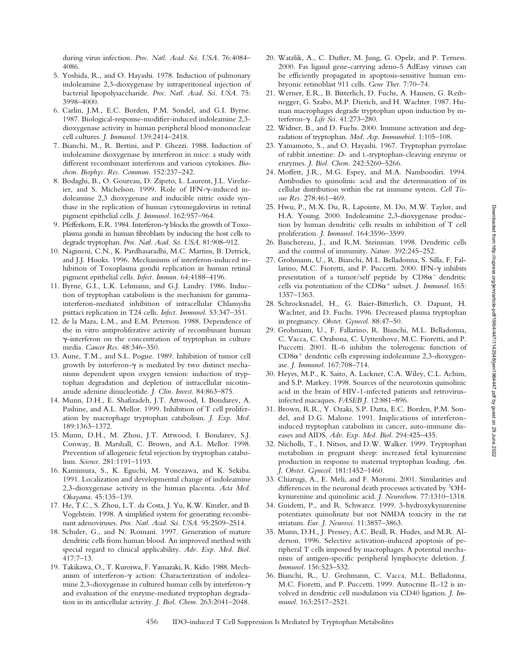during virus infection. *Proc. Natl. Acad. Sci. USA.* 76:4084– 4086.

- 5. Yoshida, R., and O. Hayashi. 1978. Induction of pulmonary indoleamine 2,3-dioxygenase by intraperitoneal injection of bacterial lipopolysaccharide. *Proc. Natl. Acad. Sci. USA.* 75: 3998–4000.
- 6. Carlin, J.M., E.C. Borden, P.M. Sondel, and G.I. Byrne. 1987. Biological-response-modifier-induced indoleamine 2,3 dioxygenase activity in human peripheral blood mononuclear cell cultures. *J. Immunol.* 139:2414–2418.
- 7. Bianchi, M., R. Bertini, and P. Ghezzi. 1988. Induction of indoleamine dioxygenase by interferon in mice: a study with different recombinant interferons and various cytokines. *Biochem. Biophys. Res. Commun.* 152:237–242.
- 8. Bodaghi, B., O. Goureau, D. Zipeto, L. Laurent, J.L. Virelizier, and S. Michelson. 1999. Role of IFN- $\gamma$ -induced indoleamine 2,3 dioxygenase and inducible nitric oxide synthase in the replication of human cytomegalovirus in retinal pigment epithelial cells. *J. Immunol.* 162:957–964.
- 9. Pfefferkorn, E.R. 1984. Interferon-γ blocks the growth of Toxoplasma gondii in human fibroblasts by inducing the host cells to degrade tryptophan. *Proc. Natl. Acad. Sci. USA.* 81:908–912.
- 10. Nagineni, C.N., K. Pardhasaradhi, M.C. Martins, B. Detrick, and J.J. Hooks. 1996. Mechanisms of interferon-induced inhibition of Toxoplasma gondii replication in human retinal pigment epithelial cells. *Infect. Immun.* 64:4188–4196.
- 11. Byrne, G.I., L.K. Lehmann, and G.J. Landry. 1986. Induction of tryptophan catabolism is the mechanism for gammainterferon-mediated inhibition of intracellular Chlamydia psittaci replication in T24 cells. *Infect. Immunol.* 53:347–351.
- 12. de la Maza, L.M., and E.M. Peterson. 1988. Dependence of the in vitro antiproliferative activity of recombinant human  $\gamma$ -interferon on the concentration of tryptophan in culture media. *Cancer Res.* 48:346–350.
- 13. Aune, T.M., and S.L. Pogue. 1989. Inhibition of tumor cell growth by interferon- $\gamma$  is mediated by two distinct mechanisms dependent upon oxygen tension: induction of tryptophan degradation and depletion of intracellular nicotinamide adenine dinucleotide. *J. Clin. Invest.* 84:863–875.
- 14. Munn, D.H., E. Shafizadeh, J.T. Attwood, I. Bondarev, A. Pashine, and A.L. Mellor. 1999. Inhibition of T cell proliferation by macrophage tryptophan catabolism. *J. Exp. Med.* 189:1363–1372.
- 15. Munn, D.H., M. Zhou, J.T. Attwood, I. Bondarev, S.J. Conway, B. Marshall, C. Brown, and A.L. Mellor. 1998. Prevention of allogeneic fetal rejection by tryptophan catabolism. *Science.* 281:1191–1193.
- 16. Kamimura, S., K. Eguchi, M. Yonezawa, and K. Sekiba. 1991. Localization and developmental change of indoleamine 2,3-dioxygenase activity in the human placenta. *Acta Med. Okayama.* 45:135–139.
- 17. He, T.C., S. Zhou, L.T. da Costa, J. Yu, K.W. Kinzler, and B. Vogelstein. 1998. A simplified system for generating recombinant adenoviruses. *Proc. Natl. Acad. Sci. USA.* 95:2509–2514.
- 18. Schuler, G., and N. Romani. 1997. Generation of mature dendritic cells from human blood. An improved method with special regard to clinical applicability. *Adv. Exp. Med. Biol.* 417:7–13.
- 19. Takikawa, O., T. Kuroiwa, F. Yamazaki, R. Kido. 1988. Mechanism of interferon- $\gamma$  action: Characterization of indoleamine 2,3-dioxygenase in cultured human cells by interferon- $\gamma$ and evaluation of the enzyme-mediated tryptophan degradation in its anticellular activity. *J. Biol. Chem.* 263:2041–2048.
- 20. Watzlik, A., C. Dufter, M. Jung, G. Opelz, and P. Terness. 2000. Fas ligand gene-carrying adeno-5 AdEasy viruses can be efficiently propagated in apoptosis-sensitive human embryonic retinoblast 911 cells. *Gene Ther.* 7:70–74.
- 21. Werner, E.R., B. Bitterlich, D. Fuchs, A. Hausen, G. Reibnegger, G. Szabo, M.P. Dierich, and H. Wachter. 1987. Human macrophages degrade tryptophan upon induction by interferon-γ. Life Sci. 41:273-280.
- 22. Widner, B., and D. Fuchs. 2000. Immune activation and degradation of tryptophan. *Mod. Asp. Immunobiol.* 1:105–108.
- 23. Yamamoto, S., and O. Hayashi. 1967. Tryptophan pyrrolase of rabbit intestine: *D*- and L-tryptophan-cleaving enzyme or enzymes. *J. Biol. Chem.* 242:5260–5266.
- 24. Moffett, J.R., M.G. Espey, and M.A. Namboodiri. 1994. Antibodies to quinolinic acid and the determination of its cellular distribution within the rat immune system. *Cell Tissue Res.* 278:461–469.
- 25. Hwu, P., M.X. Du, R. Lapointe, M. Do, M.W. Taylor, and H.A. Young. 2000. Indoleamine 2,3-dioxygenase production by human dendritic cells results in inhibition of T cell proliferation. *J. Immunol.* 164:3596–3599.
- 26. Banchereau, J., and R.M. Steinman. 1998. Dendritic cells and the control of immunity. *Nature.* 392:245–252.
- 27. Grohmann, U., R. Bianchi, M.L. Belladonna, S. Silla, F. Fallarino, M.C. Fioretti, and P. Puccetti. 2000. IFN- $\gamma$  inhibits presentation of a tumor/self peptide by  $CD8\alpha^-$  dendritic cells via potentiation of the  $CD8\alpha^+$  subset. *J. Immunol.* 165: 1357–1363.
- 28. Schrocksnadel, H., G. Baier-Bitterlich, O. Dapunt, H. Wachter, and D. Fuchs. 1996. Decreased plasma tryptophan in pregnancy. *Obstet. Gynecol.* 88:47–50.
- 29. Grohmann, U., F. Fallarino, R. Bianchi, M.L. Belladonna, C. Vacca, C. Orabona, C. Uyttenhove, M.C. Fioretti, and P. Puccetti. 2001. IL-6 inhibits the tolerogenic function of  $CD8\alpha^+$  dendritic cells expressing indoleamine 2,3-dioxygenase. *J. Immunol.* 167:708–714.
- 30. Heyes, M.P., K. Saito, A. Lackner, C.A. Wiley, C.L. Achim, and S.P. Markey. 1998. Sources of the neurotoxin quinolinic acid in the brain of HIV-1-infected patients and retrovirusinfected macaques. *FASEB J.* 12:881–896.
- 31. Brown, R.R., Y. Ozaki, S.P. Datta, E.C. Borden, P.M. Sondel, and D.G. Malone. 1991. Implications of interferoninduced tryptophan catabolism in cancer, auto-immune diseases and AIDS. *Adv. Exp. Med. Biol.* 294:425–435.
- 32. Nicholls, T., I. Nitsos, and D.W. Walker. 1999. Tryptophan metabolism in pregnant sheep: increased fetal kynurenine production in response to maternal tryptophan loading. *Am. J. Obstet. Gynecol.* 181:1452–1460.
- 33. Chiarugi, A., E. Meli, and F. Moroni. 2001. Similarities and differences in the neuronal death processes activated by 3OHkynurenine and quinolinic acid. *J. Neurochem.* 77:1310–1318.
- 34. Guidetti, P., and R. Schwarcz. 1999. 3-hydroxykynurenine potentiates quinolinate but not NMDA toxicity in the rat striatum. *Eur. J. Neurosci.* 11:3857–3863.
- 35. Munn, D.H., J. Pressey, A.C. Beall, R. Hudes, and M.R. Alderson. 1996. Selective activation-induced apoptosis of peripheral T cells imposed by macrophages. A potential mechanism of antigen-specific peripheral lymphocyte deletion. *J. Immunol.* 156:523–532.
- 36. Bianchi, R., U. Grohmann, C. Vacca, M.L. Belladonna, M.C. Fioretti, and P. Puccetti. 1999. Autocrine IL-12 is involved in dendritic cell modulation via CD40 ligation. *J. Immunol.* 163:2517–2521.